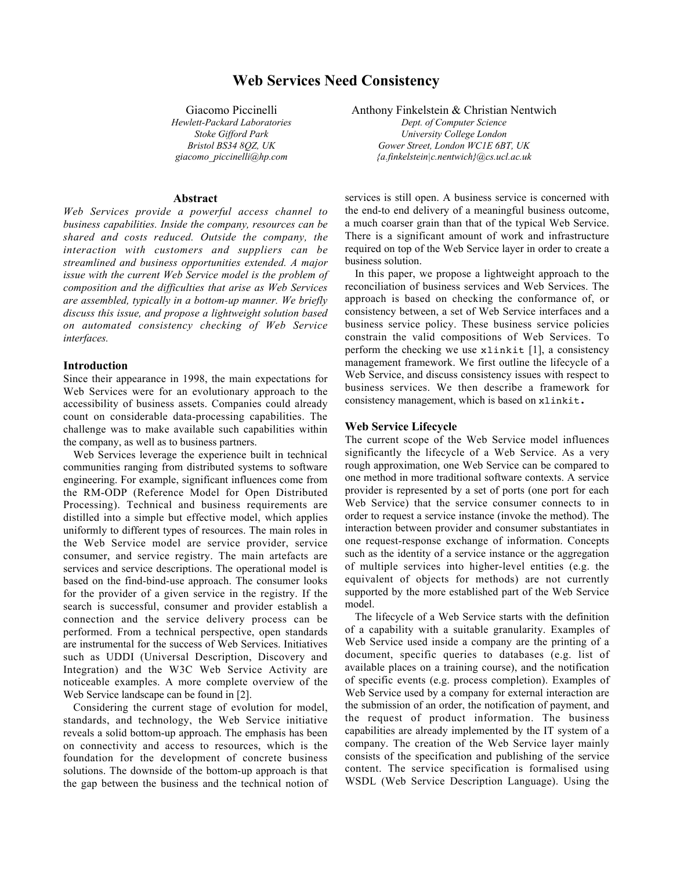# **Web Services Need Consistency**

Giacomo Piccinelli *Hewlett-Packard Laboratories Stoke Gifford Park Bristol BS34 8QZ, UK giacomo\_piccinelli@hp.com*

### **Abstract**

*Web Services provide a powerful access channel to business capabilities. Inside the company, resources can be shared and costs reduced. Outside the company, the interaction with customers and suppliers can be streamlined and business opportunities extended. A major issue with the current Web Service model is the problem of composition and the difficulties that arise as Web Services are assembled, typically in a bottom-up manner. We briefly discuss this issue, and propose a lightweight solution based on automated consistency checking of Web Service interfaces.*

#### **Introduction**

Since their appearance in 1998, the main expectations for Web Services were for an evolutionary approach to the accessibility of business assets. Companies could already count on considerable data-processing capabilities. The challenge was to make available such capabilities within the company, as well as to business partners.

Web Services leverage the experience built in technical communities ranging from distributed systems to software engineering. For example, significant influences come from the RM-ODP (Reference Model for Open Distributed Processing). Technical and business requirements are distilled into a simple but effective model, which applies uniformly to different types of resources. The main roles in the Web Service model are service provider, service consumer, and service registry. The main artefacts are services and service descriptions. The operational model is based on the find-bind-use approach. The consumer looks for the provider of a given service in the registry. If the search is successful, consumer and provider establish a connection and the service delivery process can be performed. From a technical perspective, open standards are instrumental for the success of Web Services. Initiatives such as UDDI (Universal Description, Discovery and Integration) and the W3C Web Service Activity are noticeable examples. A more complete overview of the Web Service landscape can be found in [2].

Considering the current stage of evolution for model, standards, and technology, the Web Service initiative reveals a solid bottom-up approach. The emphasis has been on connectivity and access to resources, which is the foundation for the development of concrete business solutions. The downside of the bottom-up approach is that the gap between the business and the technical notion of Anthony Finkelstein & Christian Nentwich

*Dept. of Computer Science University College London Gower Street, London WC1E 6BT, UK {a.finkelstein|c.nentwich}@cs.ucl.ac.uk*

services is still open. A business service is concerned with the end-to end delivery of a meaningful business outcome, a much coarser grain than that of the typical Web Service. There is a significant amount of work and infrastructure required on top of the Web Service layer in order to create a business solution.

In this paper, we propose a lightweight approach to the reconciliation of business services and Web Services. The approach is based on checking the conformance of, or consistency between, a set of Web Service interfaces and a business service policy. These business service policies constrain the valid compositions of Web Services. To perform the checking we use xlinkit [1], a consistency management framework. We first outline the lifecycle of a Web Service, and discuss consistency issues with respect to business services. We then describe a framework for consistency management, which is based on xlinkit.

#### **Web Service Lifecycle**

The current scope of the Web Service model influences significantly the lifecycle of a Web Service. As a very rough approximation, one Web Service can be compared to one method in more traditional software contexts. A service provider is represented by a set of ports (one port for each Web Service) that the service consumer connects to in order to request a service instance (invoke the method). The interaction between provider and consumer substantiates in one request-response exchange of information. Concepts such as the identity of a service instance or the aggregation of multiple services into higher-level entities (e.g. the equivalent of objects for methods) are not currently supported by the more established part of the Web Service model.

The lifecycle of a Web Service starts with the definition of a capability with a suitable granularity. Examples of Web Service used inside a company are the printing of a document, specific queries to databases (e.g. list of available places on a training course), and the notification of specific events (e.g. process completion). Examples of Web Service used by a company for external interaction are the submission of an order, the notification of payment, and the request of product information. The business capabilities are already implemented by the IT system of a company. The creation of the Web Service layer mainly consists of the specification and publishing of the service content. The service specification is formalised using WSDL (Web Service Description Language). Using the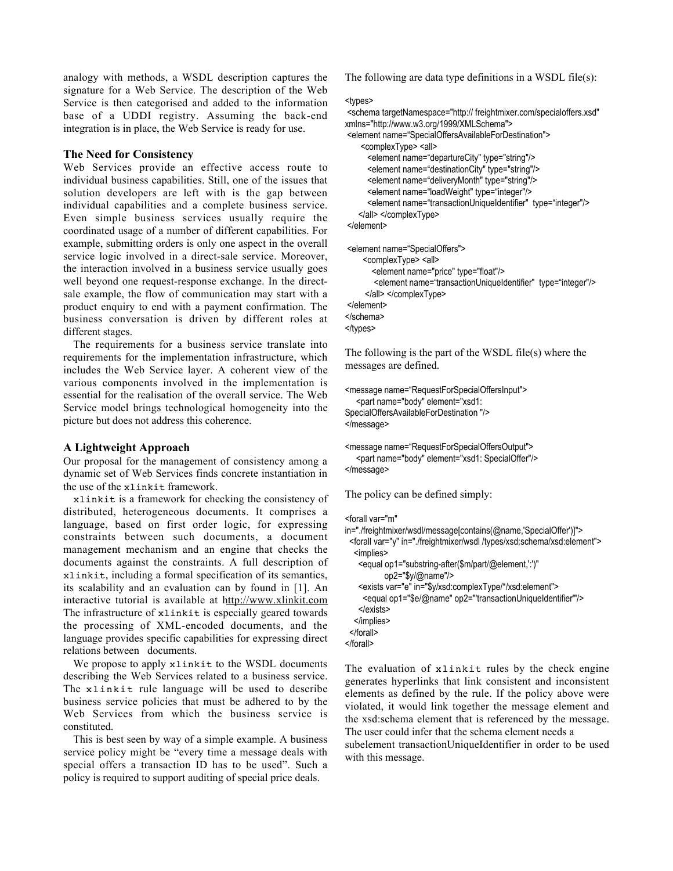analogy with methods, a WSDL description captures the signature for a Web Service. The description of the Web Service is then categorised and added to the information base of a UDDI registry. Assuming the back-end integration is in place, the Web Service is ready for use.

### **The Need for Consistency**

Web Services provide an effective access route to individual business capabilities. Still, one of the issues that solution developers are left with is the gap between individual capabilities and a complete business service. Even simple business services usually require the coordinated usage of a number of different capabilities. For example, submitting orders is only one aspect in the overall service logic involved in a direct-sale service. Moreover, the interaction involved in a business service usually goes well beyond one request-response exchange. In the directsale example, the flow of communication may start with a product enquiry to end with a payment confirmation. The business conversation is driven by different roles at different stages.

The requirements for a business service translate into requirements for the implementation infrastructure, which includes the Web Service layer. A coherent view of the various components involved in the implementation is essential for the realisation of the overall service. The Web Service model brings technological homogeneity into the picture but does not address this coherence.

# **A Lightweight Approach**

Our proposal for the management of consistency among a dynamic set of Web Services finds concrete instantiation in the use of the xlinkit framework.

xlinkit is a framework for checking the consistency of distributed, heterogeneous documents. It comprises a language, based on first order logic, for expressing constraints between such documents, a document management mechanism and an engine that checks the documents against the constraints. A full description of xlinkit, including a formal specification of its semantics, its scalability and an evaluation can by found in [1]. An interactive tutorial is available at http://www.xlinkit.com The infrastructure of xlinkit is especially geared towards the processing of XML-encoded documents, and the language provides specific capabilities for expressing direct relations between documents.

We propose to apply xlinkit to the WSDL documents describing the Web Services related to a business service. The xlinkit rule language will be used to describe business service policies that must be adhered to by the Web Services from which the business service is constituted.

This is best seen by way of a simple example. A business service policy might be "every time a message deals with special offers a transaction ID has to be used". Such a policy is required to support auditing of special price deals.

The following are data type definitions in a WSDL file(s):

#### <types>

```
 <schema targetNamespace="http:// freightmixer.com/specialoffers.xsd"
xmlns="http://www.w3.org/1999/XMLSchema">
 <element name="SpecialOffersAvailableForDestination">
    <complexType> <all>
       <element name="departureCity" type="string"/>
       <element name="destinationCity" type="string"/>
       <element name="deliveryMonth" type="string"/>
       <element name="loadWeight" type="integer"/>
       <element name="transactionUniqueIdentifier" type="integer"/>
    </all> </complexType>
 </element>
 <element name="SpecialOffers">
    <complexType> <all>
        <element name="price" type="float"/>
        <element name="transactionUniqueIdentifier" type="integer"/>
      </all> </complexType>
 </element>
</schema>
</types>
```
The following is the part of the WSDL file(s) where the messages are defined.

```
<message name="RequestForSpecialOffersInput">
   <part name="body" element="xsd1:
SpecialOffersAvailableForDestination "/>
</message>
```
<message name="RequestForSpecialOffersOutput"> <part name="body" element="xsd1: SpecialOffer"/> </message>

The policy can be defined simply:

<forall var="m"

```
in="./freightmixer/wsdl/message[contains(@name,'SpecialOffer')]">
 <forall var="y" in="./freightmixer/wsdl /types/xsd:schema/xsd:element">
   <implies>
    <equal op1="substring-after($m/part/@element,':')"
           op2="$y/@name"/>
    <exists var="e" in="$y/xsd:complexType/*/xsd:element">
     <equal op1="$e/@name" op2="'transactionUniqueIdentifier'"/>
   </exists>
   </implies>
  </forall>
</forall>
```
The evaluation of xlinkit rules by the check engine generates hyperlinks that link consistent and inconsistent elements as defined by the rule. If the policy above were violated, it would link together the message element and the xsd:schema element that is referenced by the message. The user could infer that the schema element needs a subelement transactionUniqueIdentifier in order to be used with this message.